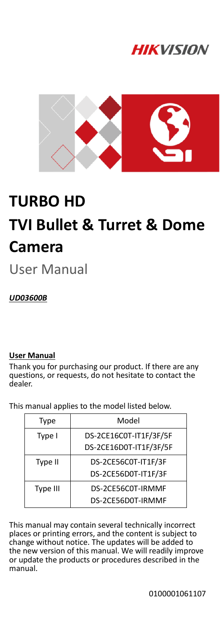



# **TURBO HD TVI Bullet & Turret & Dome Camera**

User Manual

*UD03600B*

## **User Manual**

Thank you for purchasing our product. If there are any questions, or requests, do not hesitate to contact the dealer.

This manual applies to the model listed below.

| <b>Type</b> | Model                  |
|-------------|------------------------|
| Type I      | DS-2CE16C0T-IT1F/3F/5F |
|             | DS-2CE16D0T-IT1F/3F/5F |
| Type II     | DS-2CE56C0T-IT1F/3F    |
|             | DS-2CE56D0T-IT1F/3F    |
| Type III    | DS-2CE56C0T-IRMMF      |
|             | DS-2CE56D0T-IRMMF      |

This manual may contain several technically incorrect places or printing errors, and the content is subject to change without notice. The updates will be added to the new version of this manual. We will readily improve or update the products or procedures described in the manual.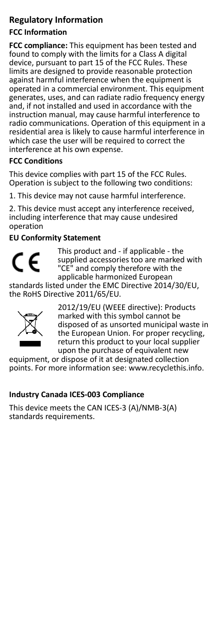# **Regulatory Information**

# **FCC Information**

**FCC compliance:** This equipment has been tested and found to comply with the limits for a Class A digital device, pursuant to part 15 of the FCC Rules. These limits are designed to provide reasonable protection against harmful interference when the equipment is operated in a commercial environment. This equipment generates, uses, and can radiate radio frequency energy and, if not installed and used in accordance with the instruction manual, may cause harmful interference to radio communications. Operation of this equipment in a residential area is likely to cause harmful interference in which case the user will be required to correct the interference at his own expense.

## **FCC Conditions**

This device complies with part 15 of the FCC Rules. Operation is subject to the following two conditions:

1. This device may not cause harmful interference.

2. This device must accept any interference received, including interference that may cause undesired operation

## **EU Conformity Statement**



This product and - if applicable - the supplied accessories too are marked with "CE" and comply therefore with the applicable harmonized European

standards listed under the EMC Directive 2014/30/EU, the RoHS Directive 2011/65/EU.



2012/19/EU (WEEE directive): Products marked with this symbol cannot be disposed of as unsorted municipal waste in the European Union. For proper recycling, return this product to your local supplier upon the purchase of equivalent new

equipment, or dispose of it at designated collection points. For more information see[: www.recyclethis.info.](http://www.recyclethis.info/)

## **Industry Canada ICES-003 Compliance**

This device meets the CAN ICES-3 (A)/NMB-3(A) standards requirements.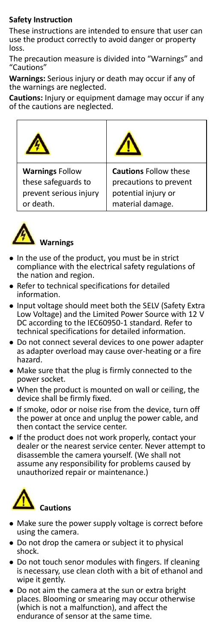## **Safety Instruction**

These instructions are intended to ensure that user can use the product correctly to avoid danger or property loss.

The precaution measure is divided into "Warnings" and "Cautions"

**Warnings:** Serious injury or death may occur if any of the warnings are neglected.

**Cautions:** Injury or equipment damage may occur if any of the cautions are neglected.





## **Warnings**

- In the use of the product, you must be in strict compliance with the electrical safety regulations of the nation and region.
- Refer to technical specifications for detailed information.
- Input voltage should meet both the SELV (Safety Extra Low Voltage) and the Limited Power Source with 12 V DC according to the IEC60950-1 standard. Refer to technical specifications for detailed information.
- Do not connect several devices to one power adapter as adapter overload may cause over-heating or a fire hazard.
- Make sure that the plug is firmly connected to the power socket.
- When the product is mounted on wall or ceiling, the device shall be firmly fixed.
- If smoke, odor or noise rise from the device, turn off the power at once and unplug the power cable, and then contact the service center.
- If the product does not work properly, contact your dealer or the nearest service center. Never attempt to disassemble the camera yourself. (We shall not assume any responsibility for problems caused by unauthorized repair or maintenance.)



- Make sure the power supply voltage is correct before using the camera.
- Do not drop the camera or subject it to physical shock.
- Do not touch senor modules with fingers. If cleaning is necessary, use clean cloth with a bit of ethanol and wipe it gently.
- Do not aim the camera at the sun or extra bright places. Blooming or smearing may occur otherwise (which is not a malfunction), and affect the endurance of sensor at the same time.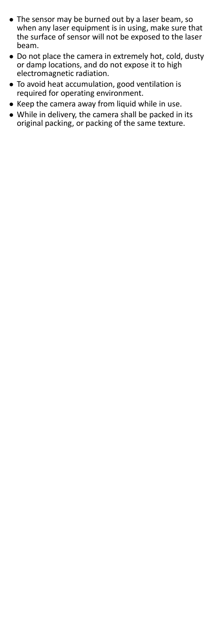- The sensor may be burned out by a laser beam, so when any laser equipment is in using, make sure that the surface of sensor will not be exposed to the laser beam.
- Do not place the camera in extremely hot, cold, dusty or damp locations, and do not expose it to high electromagnetic radiation.
- To avoid heat accumulation, good ventilation is required for operating environment.
- Keep the camera away from liquid while in use.
- While in delivery, the camera shall be packed in its original packing, or packing of the same texture.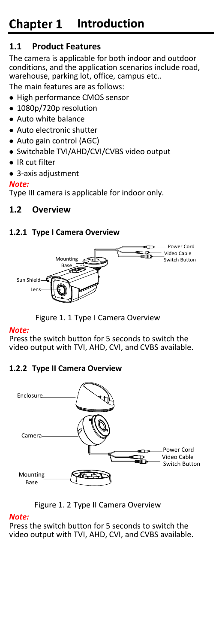# **1.1 Product Features**

The camera is applicable for both indoor and outdoor conditions, and the application scenarios include road, warehouse, parking lot, office, campus etc.. The main features are as follows:

- High performance CMOS sensor
- 1080p/720p resolution
- Auto white balance
- Auto electronic shutter
- Auto gain control (AGC)
- Switchable TVI/AHD/CVI/CVBS video output
- IR cut filter
- 3-axis adjustment

# *Note:*

Type III camera is applicable for indoor only.

# **1.2 Overview**

# **1.2.1 Type I Camera Overview**



Figure 1. 1 Type I Camera Overview

# *Note:*

Press the switch button for 5 seconds to switch the video output with TVI, AHD, CVI, and CVBS available.

# **1.2.2 Type II Camera Overview**





# *Note:*

Press the switch button for 5 seconds to switch the video output with TVI, AHD, CVI, and CVBS available.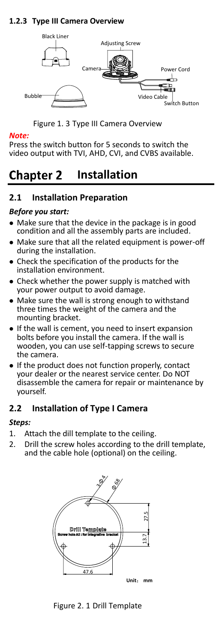# **1.2.3 Type III Camera Overview**



Figure 1. 3 Type III Camera Overview

#### *Note:*

Press the switch button for 5 seconds to switch the video output with TVI, AHD, CVI, and CVBS available.

#### **Chapter 2 Installation**

# **2.1 Installation Preparation**

#### *Before you start:*

- Make sure that the device in the package is in good condition and all the assembly parts are included.
- Make sure that all the related equipment is power-off during the installation.
- Check the specification of the products for the installation environment.
- Check whether the power supply is matched with your power output to avoid damage.
- Make sure the wall is strong enough to withstand three times the weight of the camera and the mounting bracket.
- If the wall is cement, you need to insert expansion bolts before you install the camera. If the wall is wooden, you can use self-tapping screws to secure the camera.
- If the product does not function properly, contact your dealer or the nearest service center. Do NOT disassemble the camera for repair or maintenance by yourself.

# **2.2 Installation of Type I Camera**

## *Steps:*

- 1. Attach the dill template to the ceiling.
- 2. Drill the screw holes according to the drill template. and the cable hole (optional) on the ceiling.

<span id="page-5-0"></span>

Figure 2. 1 Drill Template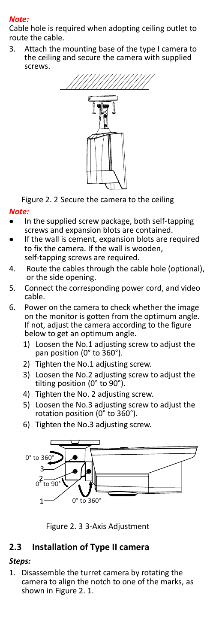#### *Note:*

Cable hole is required when adopting ceiling outlet to route the cable.

3. Attach the mounting base of the type I camera to the ceiling and secure the camera with supplied screws.



Figure 2. 2 Secure the camera to the ceiling

#### *Note:*

- In the supplied screw package, both self-tapping screws and expansion blots are contained.
- If the wall is cement, expansion blots are required to fix the camera. If the wall is wooden, self-tapping screws are required.
- 4. Route the cables through the cable hole (optional), or the side opening.
- 5. Connect the corresponding power cord, and video cable.
- 6. Power on the camera to check whether the image on the monitor is gotten from the optimum angle. If not, adjust the camera according to the figure below to get an optimum angle.
	- 1) Loosen the No.1 adjusting screw to adjust the pan position (0° to 360°).
	- 2) Tighten the No.1 adjusting screw.
	- 3) Loosen the No.2 adjusting screw to adjust the tilting position (0° to 90°).
	- 4) Tighten the No. 2 adjusting screw.
	- 5) Loosen the No.3 adjusting screw to adjust the rotation position (0° to 360°).
	- 6) Tighten the No.3 adjusting screw.



Figure 2. 3 3-Axis Adjustment

## **2.3 Installation of Type II camera**

#### *Steps:*

1. Disassemble the turret camera by rotating the camera to align the notch to one of the marks, as shown i[n Figure 2. 1.](#page-5-0)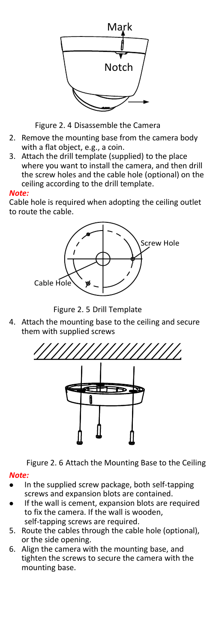

Figure 2. 4 Disassemble the Camera

- 2. Remove the mounting base from the camera body with a flat object, e.g., a coin.
- 3. Attach the drill template (supplied) to the place where you want to install the camera, and then drill the screw holes and the cable hole (optional) on the ceiling according to the drill template.

#### *Note:*

Cable hole is required when adopting the ceiling outlet to route the cable.



Figure 2. 5 Drill Template

4. Attach the mounting base to the ceiling and secure them with supplied screws



Figure 2. 6 Attach the Mounting Base to the Ceiling

#### *Note:*

- In the supplied screw package, both self-tapping screws and expansion blots are contained.
- If the wall is cement, expansion blots are required to fix the camera. If the wall is wooden, self-tapping screws are required.
- 5. Route the cables through the cable hole (optional), or the side opening.
- 6. Align the camera with the mounting base, and tighten the screws to secure the camera with the mounting base.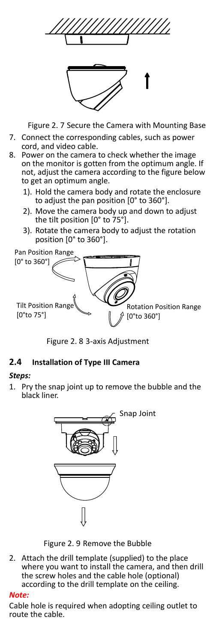



Figure 2. 7 Secure the Camera with Mounting Base

- 7. Connect the corresponding cables, such as power cord, and video cable.
- 8. Power on the camera to check whether the image on the monitor is gotten from the optimum angle. If not, adjust the camera according to the figure below to get an optimum angle.
	- 1). Hold the camera body and rotate the enclosure to adjust the pan position [0° to 360°].
	- 2). Move the camera body up and down to adjust the tilt position [0° to 75°].
	- 3). Rotate the camera body to adjust the rotation position [0° to 360°].



Figure 2. 8 3-axis Adjustment

## **2.4 Installation of Type III Camera**

#### *Steps:*

1. Pry the snap joint up to remove the bubble and the black liner.



Figure 2. 9 Remove the Bubble

2. Attach the drill template (supplied) to the place where you want to install the camera, and then drill the screw holes and the cable hole (optional) according to the drill template on the ceiling.

#### *Note:*

Cable hole is required when adopting ceiling outlet to route the cable.